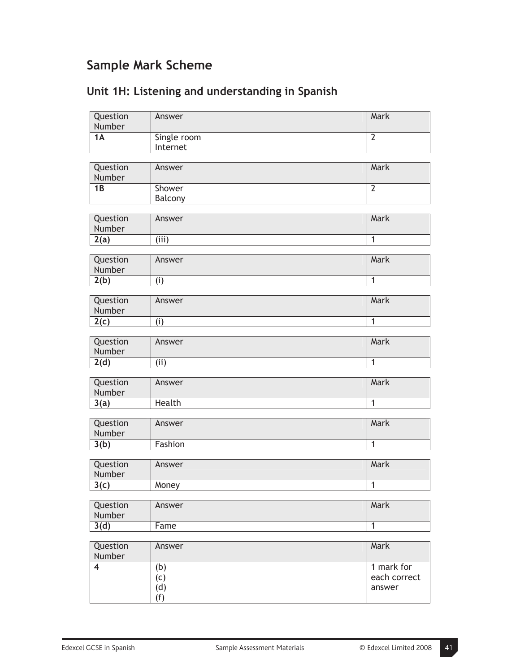## **Sample Mark Scheme**

| Question<br>Number      | Answer                  | Mark           |
|-------------------------|-------------------------|----------------|
| 1A                      | Single room<br>Internet | $\overline{2}$ |
|                         |                         |                |
| Question<br>Number      | Answer                  | Mark           |
| $\overline{1B}$         | Shower<br>Balcony       | $\overline{2}$ |
|                         |                         |                |
| Question<br>Number      | Answer                  | <b>Mark</b>    |
| 2(a)                    | (iii)                   | $\overline{1}$ |
| Question<br>Number      | Answer                  | Mark           |
| 2(b)                    | (i)                     | $\overline{1}$ |
|                         |                         |                |
| Question<br>Number      | Answer                  | Mark           |
| 2(c)                    | (i)                     | $\overline{1}$ |
|                         |                         |                |
| Question<br>Number      | Answer                  | Mark           |
| 2(d)                    | (i)                     | $\overline{1}$ |
| Question<br>Number      | Answer                  | Mark           |
| 3(a)                    | Health                  | $\overline{1}$ |
|                         |                         |                |
| Question<br>Number      | Answer                  | Mark           |
| 3(b)                    | Fashion                 | $\overline{1}$ |
|                         |                         |                |
| Question<br>Number      | Answer                  | Mark           |
| 3(c)                    | Money                   | $\overline{1}$ |
| Question<br>Number      | Answer                  | Mark           |
| 3(d)                    | Fame                    | $\overline{1}$ |
|                         |                         |                |
| Question<br>Number      | Answer                  | Mark           |
| $\overline{\mathbf{4}}$ | (b)                     | 1 mark for     |
|                         | (c)                     | each correct   |
|                         | (d)                     | answer         |
|                         | (f)                     |                |

## **Unit 1H: Listening and understanding in Spanish**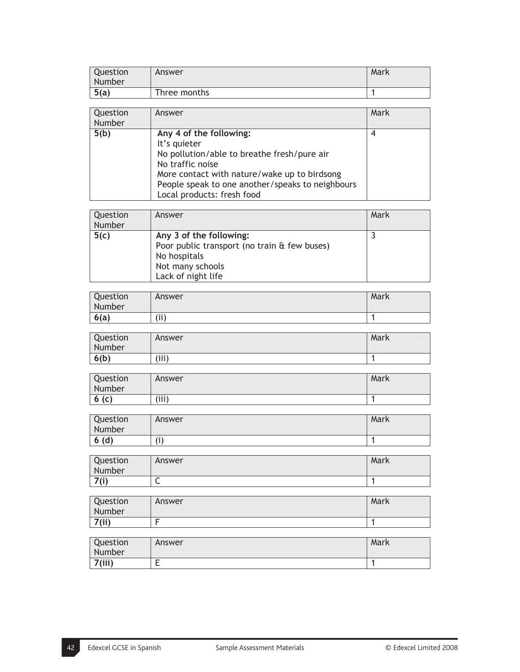| Question<br>Number | Answer       | Mark |
|--------------------|--------------|------|
| 5(a)               | Three months |      |

| Question<br>Number | Answer                                                                                                                                                                                                                                       | Mark |
|--------------------|----------------------------------------------------------------------------------------------------------------------------------------------------------------------------------------------------------------------------------------------|------|
| 5(b)               | Any 4 of the following:<br>It's quieter<br>No pollution/able to breathe fresh/pure air<br>No traffic noise<br>More contact with nature/wake up to birdsong<br>People speak to one another/speaks to neighbours<br>Local products: fresh food |      |

| Question<br>Number | Answer                                                                                                                            | Mark |
|--------------------|-----------------------------------------------------------------------------------------------------------------------------------|------|
| 5(c)               | Any 3 of the following:<br>Poor public transport (no train & few buses)<br>No hospitals<br>Not many schools<br>Lack of night life |      |

| Question<br>Number | Answer | Mark |
|--------------------|--------|------|
| 6(a)               | (i)    |      |

| Question<br>Number | Answer | Mark |
|--------------------|--------|------|
| 6(b)               | (iii)  |      |

| Question<br>Number | Answer | Mark |
|--------------------|--------|------|
| (C)<br>О           | (iii)  |      |

| Question<br>Number | Answer | Mark |
|--------------------|--------|------|
| 6(d)               | (1)    |      |

| Question<br>Number | Answer | Mark |
|--------------------|--------|------|
| 7(i)               | ∼      |      |

| Question<br>Number | Answer | Mark |
|--------------------|--------|------|
| 7(ii)              |        |      |

| Question<br>Number | Answer | Mark |
|--------------------|--------|------|
| 7(iii)             | -      |      |